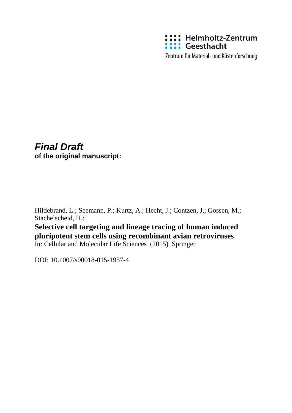

Zentrum für Material- und Küstenforschung

# *Final Draft* **of the original manuscript:**

Hildebrand, L.; Seemann, P.; Kurtz, A.; Hecht, J.; Contzen, J.; Gossen, M.; Stachelscheid, H.:

**Selective cell targeting and lineage tracing of human induced pluripotent stem cells using recombinant avian retroviruses**

In: Cellular and Molecular Life Sciences (2015) Springer

DOI: 10.1007/s00018-015-1957-4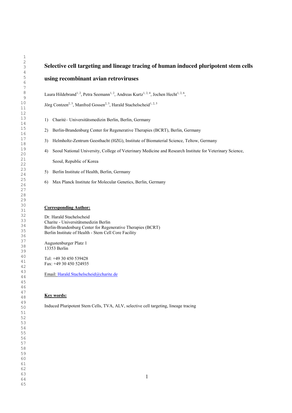# **Selective cell targeting and lineage tracing of human induced pluripotent stem cells using recombinant avian retroviruses**

Laura Hildebrand<sup>1, 2</sup>, Petra Seemann<sup>1, 2</sup>, Andreas Kurtz<sup>1, 2, 4</sup>, Jochen Hecht<sup>1, 2, 6</sup>,

Jörg Contzen<sup>2, 3</sup>, Manfred Gossen<sup>2, 3</sup>, Harald Stachelscheid<sup>1, 2, 5</sup>

- 1) Charité– Universitätsmedizin Berlin, Berlin, Germany
- 2) Berlin-Brandenburg Center for Regenerative Therapies (BCRT), Berlin, Germany
- 3) Helmholtz-Zentrum Geesthacht (HZG), Institute of Biomaterial Science, Teltow, Germany
- 4) Seoul National University, College of Veterinary Medicine and Research Institute for Veterinary Science, Seoul, Republic of Korea
- 5) Berlin Institute of Health, Berlin, Germany
- 6) Max Planck Institute for Molecular Genetics, Berlin, Germany

# **Corresponding Author:**

Dr. Harald Stachelscheid Charite - Universitätsmedizin Berlin Berlin-Brandenburg Center for Regenerative Therapies (BCRT) Berlin Institute of Health - Stem Cell Core Facility

Augustenburger Platz 1 13353 Berlin

Tel: +49 30 450 539428 Fax: +49 30 450 524935

Email: Harald.Stachelscheid@charite.de

# **Key words:**

Induced Pluripotent Stem Cells, TVA, ALV, selective cell targeting, lineage tracing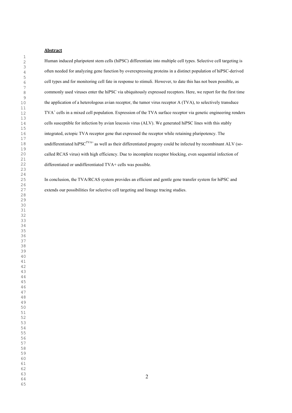# **Abstract**

Human induced pluripotent stem cells (hiPSC) differentiate into multiple cell types. Selective cell targeting is often needed for analyzing gene function by overexpressing proteins in a distinct population of hiPSC-derived cell types and for monitoring cell fate in response to stimuli. However, to date this has not been possible, as commonly used viruses enter the hiPSC via ubiquitously expressed receptors. Here, we report for the first time the application of a heterologous avian receptor, the tumor virus receptor A (TVA), to selectively transduce TVA+ cells in a mixed cell population. Expression of the TVA surface receptor via genetic engineering renders cells susceptible for infection by avian leucosis virus (ALV). We generated hiPSC lines with this stably integrated, ectopic TVA receptor gene that expressed the receptor while retaining pluripotency. The undifferentiated hiPSC<sup>TVA+</sup> as well as their differentiated progeny could be infected by recombinant ALV (socalled RCAS virus) with high efficiency. Due to incomplete receptor blocking, even sequential infection of differentiated or undifferentiated TVA+ cells was possible.

In conclusion, the TVA/RCAS system provides an efficient and gentle gene transfer system for hiPSC and extends our possibilities for selective cell targeting and lineage tracing studies.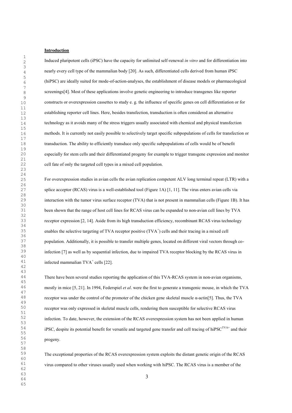## **Introduction**

Induced pluripotent cells (iPSC) have the capacity for unlimited self-renewal *in vitro* and for differentiation into nearly every cell type of the mammalian body [20]. As such, differentiated cells derived from human iPSC (hiPSC) are ideally suited for mode-of-action-analyses, the establishment of disease models or pharmacological screenings[4]. Most of these applications involve genetic engineering to introduce transgenes like reporter constructs or overexpression cassettes to study e. g. the influence of specific genes on cell differentiation or for establishing reporter cell lines. Here, besides transfection, transduction is often considered an alternative technology as it avoids many of the stress triggers usually associated with chemical and physical transfection methods. It is currently not easily possible to selectively target specific subpopulations of cells for transfection or transduction. The ability to efficiently transduce only specific subpopulations of cells would be of benefit especially for stem cells and their differentiated progeny for example to trigger transgene expression and monitor cell fate of only the targeted cell types in a mixed cell population.

For overexpression studies in avian cells the avian replication competent ALV long terminal repeat (LTR) with a splice acceptor (RCAS) virus is a well-established tool (Figure 1A) [1, 11]. The virus enters avian cells via interaction with the tumor virus surface receptor (TVA) that is not present in mammalian cells (Figure 1B). It has been shown that the range of host cell lines for RCAS virus can be expanded to non-avian cell lines by TVA receptor expression [2, 14]. Aside from its high transduction efficiency, recombinant RCAS virus technology enables the selective targeting of TVA receptor positive (TVA<sup>+</sup>) cells and their tracing in a mixed cell population. Additionally, it is possible to transfer multiple genes, located on different viral vectors through coinfection [7] as well as by sequential infection, due to impaired TVA receptor blocking by the RCAS virus in infected mammalian  $TVA<sup>+</sup>$  cells [22].

There have been several studies reporting the application of this TVA-RCAS system in non-avian organisms, mostly in mice [5, 21]. In 1994, Federspiel *et al.* were the first to generate a transgenic mouse, in which the TVA receptor was under the control of the promoter of the chicken gene skeletal muscle α-actin[5]. Thus, the TVA receptor was only expressed in skeletal muscle cells, rendering them susceptible for selective RCAS virus infection. To date, however, the extension of the RCAS overexpression system has not been applied in human iPSC, despite its potential benefit for versatile and targeted gene transfer and cell tracing of hiPSC<sup>TVA+</sup> and their progeny.

The exceptional properties of the RCAS overexpression system exploits the distant genetic origin of the RCAS virus compared to other viruses usually used when working with hiPSC. The RCAS virus is a member of the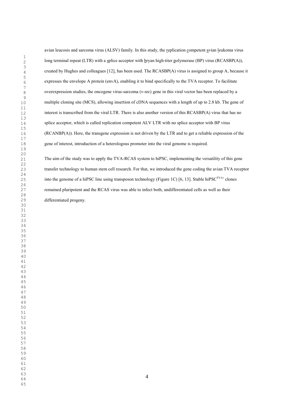avian leucosis and sarcoma virus (ALSV) family. In this study, the replication competent avian leukoma virus long terminal repeat (LTR) with a splice acceptor with bryan high-titer polymerase (BP) virus (RCASBP(A)), created by Hughes and colleagues [12], has been used. The RCASBP(A) virus is assigned to group A, because it expresses the envelope A protein (envA), enabling it to bind specifically to the TVA receptor. To facilitate overexpression studies, the oncogene virus-sarcoma (v-src) gene in this viral vector has been replaced by a multiple cloning site (MCS), allowing insertion of cDNA sequences with a length of up to 2.8 kb. The gene of interest is transcribed from the viral LTR. There is also another version of this RCASBP(A) virus that has no splice acceptor, which is called replication competent ALV LTR with no splice acceptor with BP virus (RCANBP(A)). Here, the transgene expression is not driven by the LTR and to get a reliable expression of the gene of interest, introduction of a heterologous promoter into the viral genome is required.

The aim of the study was to apply the TVA-RCAS system to hiPSC, implementing the versatility of this gene transfer technology to human stem cell research. For that, we introduced the gene coding the avian TVA receptor into the genome of a hiPSC line using transposon technology (Figure 1C) [6, 13]. Stable hiPSC<sup>TVA+</sup> clones remained pluripotent and the RCAS virus was able to infect both, undifferentiated cells as well as their differentiated progeny.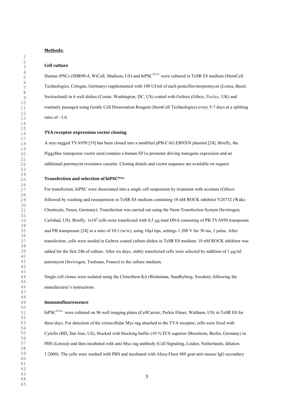**Methods:**

#### **Cell culture**

Human iPSCs (IMR90-4, WiCell, Madison, US) and hiPSC<sup>TVA+</sup> were cultured in TeSR E8 medium (StemCell Technologies, Cologne, Germany) supplemented with 100 UI/ml of each penicillin/streptomycin (Lonza, Basel, Switzerland) in 6 well dishes (Costar, Washington, DC, US) coated with Geltrex (Gibco, Paisley, UK) and routinely passaged using Gentle Cell Dissociation Reagent (StemCell Technologies) every 5-7 days at a splitting ratio of  $\sim$ 1:6.

## **TVA receptor expression vector cloning**

A myc-tagged TVA950 [19] has been cloned into a modified pPB-CAG.EBNXN plasmid [24]. Briefly, the PiggyBac transposon vector used contains a human  $EFl\alpha$  promoter driving transgene expression and an additional puromycin resistance cassette. Cloning details and vector sequence are available on request.

#### **Transfection and selection of hiPSCTVA+**

For transfection, hiPSC were dissociated into a single cell suspension by treatment with accutase (Gibco) followed by washing and resuspension in TeSR E8 medium containing 10 nM ROCK inhibitor Y26732 (Wako Chemicals, Neuss, Germany). Transfection was carried out using the Neon Transfection System (Invitrogen, Carlsbad, US). Briefly,  $1x10^5$  cells were transfected with 0.5 µg total DNA consisting of PB TVA950 transposon and PB transposase [24] in a ratio of 10:1 (w/w), using 10µl tips, settings 1.200 V for 30 ms, 1 pulse. After transfection, cells were seeded in Geltrex coated culture dishes in TeSR E8 medium. 10 nM ROCK inhibitor was added for the first 24h of culture. After six days, stably transfected cells were selected by addition of 1 µg/ml puromycin (Invivogen, Toulouse, France) to the culture medium.

Single cell clones were isolated using the CloneStem Kit (Biolamina, Sundbyberg, Sweden), following the manufacturer's instructions.

#### **Immunofluorescence**

hiPSC<sup>TVA+</sup> were cultured on 96 well imaging plates (CellCarrier, Perkin Elmer, Waltham, US) in TeSR E8 for three days. For detection of the extracellular Myc-tag attached to the TVA receptor, cells were fixed with Cytofix (BD, San Jose, US), blocked with blocking buffer (10 % FCS superior (Biochrom, Berlin, Germany) in PBS (Lonza)) and then incubated with anti-Myc-tag antibody (Cell Signaling, Leiden, Netherlands; dilution 1:2000). The cells were washed with PBS and incubated with Alexa Fluor 488 goat anti-mouse IgG secondary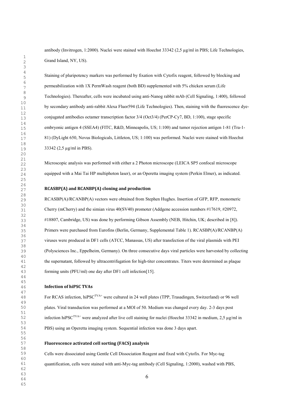antibody (Invitrogen, 1:2000). Nuclei were stained with Hoechst 33342 (2,5 µg/ml in PBS; Life Technologies, Grand Island, NY, US).

Staining of pluripotency markers was performed by fixation with Cytofix reagent, followed by blocking and permeabilization with 1X PermWash reagent (both BD) supplemented with 5% chicken serum (Life Technologies). Thereafter, cells were incubated using anti-Nanog rabbit mAb (Cell Signaling, 1:400), followed by secondary antibody anti-rabbit Alexa Fluor594 (Life Technologies). Then, staining with the fluorescence dyeconjugated antibodies octamer transcription factor 3/4 (Oct3/4) (PerCP-Cy7, BD, 1:100), stage specific embryonic antigen 4 (SSEA4) (FITC, R&D, Minneapolis, US; 1:100) and tumor rejection antigen 1-81 (Tra-1- 81) (DyLight 650, Novus Biologicals, Littleton, US; 1:100) was performed. Nuclei were stained with Hoechst 33342 (2,5 µg/ml in PBS).

Microscopic analysis was performed with either a 2 Photon microscope (LEICA SP5 confocal microscope equipped with a Mai Tai HP multiphoton laser), or an Operetta imaging system (Perkin Elmer), as indicated.

#### **RCASBP(A) and RCANBP(A) cloning and production**

RCASBP(A)/RCANBP(A) vectors were obtained from Stephen Hughes. Insertion of GFP, RFP, monomeric Cherry (mCherry) and the simian virus 40(SV40) promoter (Addgene accession numbers #17619, #20972, #18807, Cambridge, US) was done by performing Gibson Assembly (NEB, Hitchin, UK; described in [8]). Primers were purchased from Eurofins (Berlin, Germany, Supplemental Table 1). RCASBP(A)/RCANBP(A) viruses were produced in DF1 cells (ATCC, Manassas, US) after transfection of the viral plasmids with PEI (Polysciences Inc., Eppelheim, Germany). On three consecutive days viral particles were harvested by collecting the supernatant, followed by ultracentrifugation for high-titer concentrates. Titers were determined as plaque forming units (PFU/ml) one day after DF1 cell infection[15].

## **Infection of hiPSC TVAs**

For RCAS infection, hiPSC<sup>TVA+</sup> were cultured in 24 well plates (TPP, Trasadingen, Switzerland) or 96 well plates. Viral transduction was performed at a MOI of 50. Medium was changed every day. 2-3 days post infection hiPSC<sup>TVA+</sup> were analyzed after live cell staining for nuclei (Hoechst 33342 in medium, 2,5 µg/ml in PBS) using an Operetta imaging system. Sequential infection was done 3 days apart.

## **Fluorescence activated cell sorting (FACS) analysis**

Cells were dissociated using Gentle Cell Dissociation Reagent and fixed with Cytofix. For Myc-tag quantification, cells were stained with anti-Myc-tag antibody (Cell Signaling, 1:2000), washed with PBS,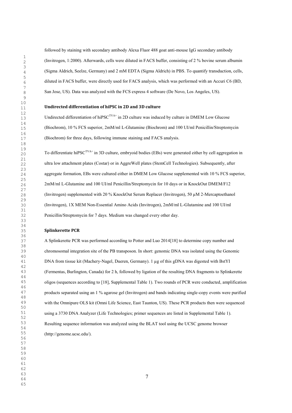followed by staining with secondary antibody Alexa Fluor 488 goat anti-mouse IgG secondary antibody (Invitrogen, 1:2000). Afterwards, cells were diluted in FACS buffer, consisting of 2 % bovine serum albumin (Sigma Aldrich, Seelze, Germany) and 2 mM EDTA (Sigma Aldrich) in PBS. To quantify transduction, cells, diluted in FACS buffer, were directly used for FACS analysis, which was performed with an Accuri C6 (BD, San Jose, US). Data was analyzed with the FCS express 4 software (De Novo, Los Angeles, US).

# **Undirected differentiation of hiPSC in 2D and 3D culture**

Undirected differentiation of hiPSC<sup>TVA+</sup> in 2D culture was induced by culture in DMEM Low Glucose (Biochrom), 10 % FCS superior, 2mM/ml L-Glutamine (Biochrom) and 100 UI/ml Penicillin/Streptomycin (Biochrom) for three days, following immune staining and FACS analysis.

To differentiate hiPSC<sup>TVA+</sup> in 3D culture, embryoid bodies (EBs) were generated either by cell aggregation in ultra low attachment plates (Costar) or in AggreWell plates (StemCell Technologies). Subsequently, after aggregate formation, EBs were cultured either in DMEM Low Glucose supplemented with 10 % FCS superior, 2mM/ml L-Glutamine and 100 UI/ml Penicillin/Streptomycin for 10 days or in KnockOut DMEM/F12 (Invitrogen) supplemented with 20 % KnockOut Serum Replacer (Invitrogen), 50 µM 2-Mercaptoethanol (Invitrogen), 1X MEM Non-Essential Amino Acids (Invitrogen), 2mM/ml L-Glutamine and 100 UI/ml Penicillin/Streptomycin for 7 days. Medium was changed every other day.

#### **Splinkerette PCR**

A Splinkerette PCR was performed according to Potter and Luo 2014[18] to determine copy number and chromosomal integration site of the PB transposon. In short: genomic DNA was isolated using the Genomic DNA from tissue kit (Machery-Nagel, Dueren, Germany). 1 µg of this gDNA was digested with BstYI (Fermentas, Burlington, Canada) for 2 h, followed by ligation of the resulting DNA fragments to Splinkerette oligos (sequences according to [18], Supplemental Table 1). Two rounds of PCR were conducted, amplification products separated using an 1 % agarose gel (Invitrogen) and bands indicating single-copy events were purified with the Omnipure OLS kit (Omni Life Science, East Taunton, US). These PCR products then were sequenced using a 3730 DNA Analyzer (Life Technologies; primer sequences are listed in Supplemental Table 1). Resulting sequence information was analyzed using the BLAT tool using the UCSC genome browser (http://genome.ucsc.edu/).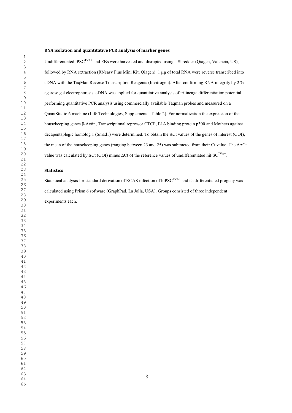#### **RNA isolation and quantitative PCR analysis of marker genes**

Undifferentiated iPSC<sup>TVA+</sup> and EBs were harvested and disrupted using a Shredder (Qiagen, Valencia, US), followed by RNA extraction (RNeasy Plus Mini Kit, Qiagen). 1 µg of total RNA were reverse transcribed into cDNA with the TaqMan Reverse Transcription Reagents (Invitrogen). After confirming RNA integrity by 2 % agarose gel electrophoresis, cDNA was applied for quantitative analysis of trilineage differentiation potential performing quantitative PCR analysis using commercially available Taqman probes and measured on a QuantStudio 6 machine (Life Technologies, Supplemental Table 2). For normalization the expression of the housekeeping genes β-Actin, Transcriptional repressor CTCF, E1A binding protein p300 and Mothers against decapentaplegic homolog 1 (Smad1) were determined. To obtain the ΔCt values of the genes of interest (GOI), the mean of the housekeeping genes (ranging between 23 and 25) was subtracted from their Ct value. The ΔΔCt value was calculated by ΔCt (GOI) minus ΔCt of the reference values of undifferentiated hiPSC<sup>TVA+</sup>.

### **Statistics**

Statistical analysis for standard derivation of RCAS infection of hiPSC<sup>TVA+</sup> and its differentiated progeny was calculated using Prism 6 software (GraphPad, La Jolla, USA). Groups consisted of three independent experiments each.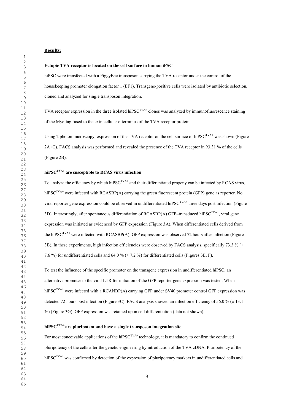# **Results:**

#### **Ectopic TVA receptor is located on the cell surface in human iPSC**

hiPSC were transfected with a PiggyBac transposon carrying the TVA receptor under the control of the housekeeping promoter elongation factor 1 (EF1). Transgene-positive cells were isolated by antibiotic selection, cloned and analyzed for single transposon integration.

TVA receptor expression in the three isolated hiPSC<sup>TVA+</sup> clones was analyzed by immunofluorescence staining of the Myc-tag fused to the extracellular c-terminus of the TVA receptor protein.

Using 2 photon microscopy, expression of the TVA receptor on the cell surface of hiPSC<sup>TVA+</sup> was shown (Figure 2A+C). FACS analysis was performed and revealed the presence of the TVA receptor in 93.31 % of the cells (Figure 2B).

# **hiPSCTVA+ are susceptible to RCAS virus infection**

To analyze the efficiency by which hiPSC<sup>TVA+</sup> and their differentiated progeny can be infected by RCAS virus, hiPSC<sup>TVA+</sup> were infected with RCASBP(A) carrying the green fluorescent protein (GFP) gene as reporter. No viral reporter gene expression could be observed in undifferentiated hiPSC<sup>TVA+</sup> three days post infection (Figure 3D). Interestingly, after spontaneous differentiation of RCASBP(A) GFP–transduced hiPSC<sup>TVA+</sup>, viral gene expression was initiated as evidenced by GFP expression (Figure 3A). When differentiated cells derived from the hiPSCTVA+ were infected with RCASBP(A), GFP expression was observed 72 hours after infection (Figure 3B). In these experiments, high infection efficiencies were observed by FACS analysis, specifically 73.3 % ( $\pm$ ) 7.6 %) for undifferentiated cells and 64.0 % ( $\pm$  7.2 %) for differentiated cells (Figures 3E, F).

To test the influence of the specific promoter on the transgene expression in undifferentiated hiPSC, an alternative promoter to the viral LTR for initiation of the GFP reporter gene expression was tested. When hiPSC<sup>TVA+</sup> were infected with a RCANBP(A) carrying GFP under SV40 promoter control GFP expression was detected 72 hours post infection (Figure 3C). FACS analysis showed an infection efficiency of 56.0 %  $(\pm 13.1$ %) (Figure 3G). GFP expression was retained upon cell differentiation (data not shown).

# **hiPSCTVA+ are pluripotent and have a single transposon integration site**

For most conceivable applications of the hiPSC<sup>TVA+</sup> technology, it is mandatory to confirm the continued pluripotency of the cells after the genetic engineering by introduction of the TVA cDNA. Pluripotency of the hiPSC<sup>TVA+</sup> was confirmed by detection of the expression of pluripotency markers in undifferentiated cells and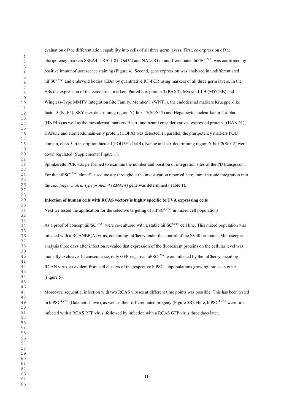evaluation of the differentiation capability into cells of all three germ layers. First, co-expression of the pluripotency markers SSEA4, TRA-1-81, Oct3/4 and NANOG in undifferentiated hiPSC<sup>TVA+</sup> was confirmed by positive immunofluorescence staining (Figure 4). Second, gene expression was analyzed in undifferentiated hiPSC<sup>TVA+</sup> and embryoid bodies (EBs) by quantitative RT-PCR using markers of all three germ layers. In the EBs the expression of the ectodermal markers Paired box protein 3 (PAX3), Myosin III B (MYO3B) and Wingless-Type MMTV Integration Site Family, Member 1 (WNT1), the endodermal markers Krueppel-like factor 5 (KLF5), SRY (sex determining region Y)-box 17(SOX17) and Hepatocyte nuclear factor 4-alpha (HNF4A) as well as the mesodermal markers Heart- and neural crest derivatives-expressed protein 1(HAND1), HAND2 and Homeodomain-only protein (HOPX) was detected. In parallel, the pluripotency markers POU domain, class 5, transcription factor 1(POU5F1/Oct 4), Nanog and sex determining region Y box 2(Sox 2) were down regulated (Supplemental Figure 1).

Splinkerette PCR was performed to examine the number and position of integration sites of the PB transposon . For the hiPSC<sup>TVA+</sup> clone#1 used mostly throughout the investigation reported here, intra-intronic integration into the *zinc finger matrin-type protein 4 (ZMAT4)* gene was determined (Table 1).

# **Infection of human cells with RCAS vectors is highly specific to TVA expressing cells**

Next we tested the application for the selective targeting of hiPSC<sup>TVA+</sup> in mixed cell populations.

As a proof of concept hiPSC<sup>TVA+</sup> were co-cultured with a stable hiPSC<sup>GFP+</sup> cell line. This mixed population was infected with a RCANBP(A) virus, containing mCherry under the control of the SV40 promoter. Microscopic analysis three days after infection revealed that expression of the fluorescent proteins on the cellular level was mutually exclusive. In consequence, only GFP-negative hiPSC<sup>TVA+</sup> were infected by the mCherry encoding RCAN virus, as evident from cell clusters of the respective hiPSC subpopulations growing into each other (Figure 5).

Moreover, sequential infection with two RCAS viruses at different time points was possible. This has been tested in hiPSC<sup>TVA+</sup> (Data not shown), as well as their differentiated progeny (Figure 5B). Here, hiPSC<sup>TVA+</sup> were first infected with a RCAS RFP virus, followed by infection with a RCAS GFP virus three days later.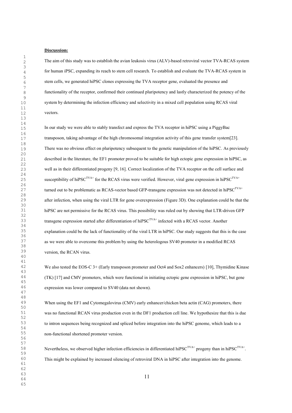## **Discussion:**

The aim of this study was to establish the avian leukosis virus (ALV)-based retroviral vector TVA-RCAS system for human iPSC, expanding its reach to stem cell research. To establish and evaluate the TVA-RCAS system in stem cells, we generated hiPSC clones expressing the TVA receptor gene, evaluated the presence and functionality of the receptor, confirmed their continued pluripotency and lastly characterized the potency of the system by determining the infection efficiency and selectivity in a mixed cell population using RCAS viral vectors.

In our study we were able to stably transfect and express the TVA receptor in hiPSC using a PiggyBac transposon, taking advantage of the high chromosomal integration activity of this gene transfer system[23]. There was no obvious effect on pluripotency subsequent to the genetic manipulation of the hiPSC. As previously described in the literature, the EF1 promoter proved to be suitable for high ectopic gene expression in hiPSC, as well as in their differentiated progeny [9, 16]. Correct localization of the TVA receptor on the cell surface and susceptibility of hiPSC<sup>TVA+</sup> for the RCAS virus were verified. However, viral gene expression in hiPSC<sup>TVA+</sup> turned out to be problematic as RCAS-vector based GFP-transgene expression was not detected in hiPSC<sup>TVA+</sup> after infection, when using the viral LTR for gene overexpression (Figure 3D). One explanation could be that the hiPSC are not permissive for the RCAS virus. This possibility was ruled out by showing that LTR-driven GFP transgene expression started after differentiation of hiPSC<sup>TVA+</sup> infected with a RCAS vector. Another explanation could be the lack of functionality of the viral LTR in hiPSC. Our study suggests that this is the case as we were able to overcome this problem by using the heterologous SV40 promoter in a modified RCAS version, the RCAN virus.

We also tested the EOS-C 3+ (Early transposon promoter and Oct4 and Sox2 enhancers) [10]. Thymidine Kinase (TK) [17] and CMV promoters, which were functional in initiating ectopic gene expression in hiPSC, but gene expression was lower compared to SV40 (data not shown).

When using the EF1 and Cytomegalovirus (CMV) early enhancer/chicken beta actin (CAG) promoters, there was no functional RCAN virus production even in the DF1 production cell line. We hypothesize that this is due to intron sequences being recognized and spliced before integration into the hiPSC genome, which leads to a non-functional shortened promoter version.

Nevertheless, we observed higher infection efficiencies in differentiated hiPSC<sup>TVA+</sup> progeny than in hiPSC<sup>TVA+</sup>. This might be explained by increased silencing of retroviral DNA in hiPSC after integration into the genome.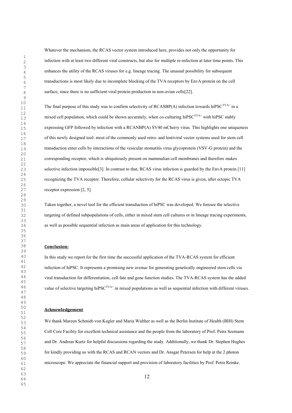Whatever the mechanism, the RCAS vector system introduced here, provides not only the opportunity for infection with at least two different viral constructs, but also for multiple re-infection at later time points. This enhances the utility of the RCAS viruses for e.g. lineage tracing. The unusual possibility for subsequent transductions is most likely due to incomplete blocking of the TVA receptors by EnvA protein on the cell surface, since there is no sufficient viral protein production in non-avian cells[22].

The final purpose of this study was to confirm selectivity of RCASBP(A) infection towards hiPSC<sup>TVA+</sup> in a mixed cell population, which could be shown accurately, when co-culturing hiPSC<sup>TVA+</sup> with hiPSC stably expressing GFP followed by infection with a RCANBP(A) SV40 mCherry virus. This highlights one uniqueness of this newly designed tool: most of the commonly used retro- and lentiviral vector systems used for stem cell transduction enter cells by interactions of the vesicular stomatitis virus glycoprotein (VSV-G protein) and the corresponding receptor, which is ubiquitously present on mammalian cell membranes and therefore makes selective infection impossible<sup>[3]</sup>. In contrast to that, RCAS virus infection is guarded by the EnvA protein [11] recognizing the TVA receptor. Therefore, cellular selectivity for the RCAS virus is given, after ectopic TVA receptor expression [2, 5].

Taken together, a novel tool for the efficient transduction of hiPSC was developed. We foresee the selective targeting of defined subpopulations of cells, either in mixed stem cell cultures or in lineage tracing experiments, as well as possible sequential infection as main areas of application for this technology.

## **Conclusion:**

In this study we report for the first time the successful application of the TVA-RCAS system for efficient infection of hiPSC. It represents a promising new avenue for generating genetically engineered stem cells via viral transduction for differentiation, cell fate and gene function studies. The TVA-RCAS system has the added value of selective targeting hiPSC<sup>TVA+</sup> in mixed populations as well as sequential infection with different viruses.

#### **Acknowledgement**

We thank Mareen Schmidt-von Kegler and Maria Walther as well as the Berlin Institute of Health (BIH) Stem Cell Core Facility for excellent technical assistance and the people from the laboratory of Prof. Petra Seemann and Dr. Andreas Kurtz for helpful discussions regarding the study. Additionally, we thank Dr. Stephen Hughes for kindly providing us with the RCAS and RCAN vectors and Dr. Ansgar Petersen for help at the 2 photon microscope. We appreciate the financial support and provision of laboratory facilities by Prof. Petra Reinke.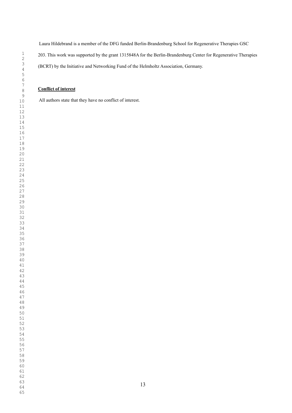Laura Hildebrand is a member of the DFG funded Berlin-Brandenburg School for Regenerative Therapies GSC Laura Hildebrand is a member of the DFG funded Berlin-Brandenburg School for Regenerative Therapies GSC

203. This work was supported by the grant 1315848A for the Berlin-Brandenburg Center for Regenerative Therapies

(BCRT) by the Initiative and Networking Fund of the Helmholtz Association, Germany.

# **Conflict of interest Conflict of interest**

All authors state that they have no conflict of interest. All authors state that they have no conflict of interest.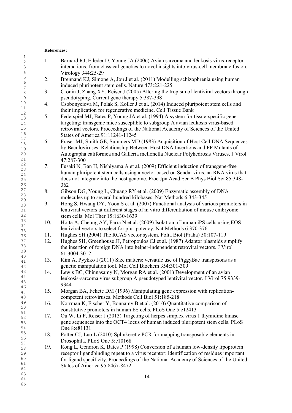# **References:**

| 1               |     |                                                                                          |
|-----------------|-----|------------------------------------------------------------------------------------------|
| $\overline{c}$  | 1.  | Barnard RJ, Elleder D, Young JA (2006) Avian sarcoma and leukosis virus-receptor         |
| 3               |     | interactions: from classical genetics to novel insights into virus-cell membrane fusion. |
| 4               |     | Virology 344:25-29                                                                       |
| $\mathsf S$     |     |                                                                                          |
| $\sqrt{6}$      | 2.  | Brennand KJ, Simone A, Jou J et al. (2011) Modelling schizophrenia using human           |
| $7\phantom{.0}$ |     | induced pluripotent stem cells. Nature 473:221-225                                       |
| $\,8\,$         | 3.  | Cronin J, Zhang XY, Reiser J (2005) Altering the tropism of lentiviral vectors through   |
| $\mathsf 9$     |     | pseudotyping. Current gene therapy 5:387-398                                             |
| $10$            | 4.  | Csobonyeiova M, Polak S, Koller J et al. (2014) Induced pluripotent stem cells and       |
| 11              |     | their implication for regenerative medicine. Cell Tissue Bank                            |
| 12              |     |                                                                                          |
| 13              | 5.  | Federspiel MJ, Bates P, Young JA et al. (1994) A system for tissue-specific gene         |
| 14              |     | targeting: transgenic mice susceptible to subgroup A avian leukosis virus-based          |
| 15              |     | retroviral vectors. Proceedings of the National Academy of Sciences of the United        |
| 16              |     | States of America 91:11241-11245                                                         |
| 17              | 6.  | Fraser MJ, Smith GE, Summers MD (1983) Acquisition of Host Cell DNA Sequences            |
| $1\,8$          |     | by Baculoviruses: Relationship Between Host DNA Insertions and FP Mutants of             |
| 19              |     |                                                                                          |
| 20              |     | Autographa californica and Galleria mellonella Nuclear Polyhedrosis Viruses. J Virol     |
| 21<br>22        |     | 47:287-300                                                                               |
| 23              | 7.  | Fusaki N, Ban H, Nishiyama A et al. (2009) Efficient induction of transgene-free         |
| 24              |     | human pluripotent stem cells using a vector based on Sendai virus, an RNA virus that     |
| 25              |     | does not integrate into the host genome. Proc Jpn Acad Ser B Phys Biol Sci 85:348-       |
| 26              |     | 362                                                                                      |
| 27              | 8.  | Gibson DG, Young L, Chuang RY et al. (2009) Enzymatic assembly of DNA                    |
| 28              |     |                                                                                          |
| 29              |     | molecules up to several hundred kilobases. Nat Methods 6:343-345                         |
| 30              | 9.  | Hong S, Hwang DY, Yoon S et al. (2007) Functional analysis of various promoters in       |
| 31              |     | lentiviral vectors at different stages of in vitro differentiation of mouse embryonic    |
| 32              |     | stem cells. Mol Ther 15:1630-1639                                                        |
| 33              | 10. | Hotta A, Cheung AY, Farra N et al. (2009) Isolation of human iPS cells using EOS         |
| 34              |     | lentiviral vectors to select for pluripotency. Nat Methods 6:370-376                     |
| 35              | 11. | Hughes SH (2004) The RCAS vector system. Folia Biol (Praha) 50:107-119                   |
| 36              |     |                                                                                          |
| 37              | 12. | Hughes SH, Greenhouse JJ, Petropoulos CJ et al. (1987) Adaptor plasmids simplify         |
| 38              |     | the insertion of foreign DNA into helper-independent retroviral vectors. J Virol         |
| 39<br>$4\,0$    |     | 61:3004-3012                                                                             |
| 41              | 13. | Kim A, Pyykko I (2011) Size matters: versatile use of PiggyBac transposons as a          |
| 42              |     | genetic manipulation tool. Mol Cell Biochem 354:301-309                                  |
| 43              | 14  | Lewis BC, Chinnasamy N, Morgan RA et al. (2001) Development of an avian                  |
| 44              |     |                                                                                          |
| 45              |     | leukosis-sarcoma virus subgroup A pseudotyped lentiviral vector. J Virol 75:9339-        |
| 46              |     | 9344                                                                                     |
| 47              | 15. | Morgan BA, Fekete DM (1996) Manipulating gene expression with replication-               |
| 48              |     | competent retroviruses. Methods Cell Biol 51:185-218                                     |
| 49              | 16. | Norrman K, Fischer Y, Bonnamy B et al. (2010) Quantitative comparison of                 |
| 50              |     | constitutive promoters in human ES cells. PLoS One 5:e12413                              |
| 51              | 17. | Ou W, Li P, Reiser J (2013) Targeting of herpes simplex virus 1 thymidine kinase         |
| 52              |     |                                                                                          |
| 53              |     | gene sequences into the OCT4 locus of human induced pluripotent stem cells. PLoS         |
| 54              |     | One 8:e81131                                                                             |
| 55              | 18. | Potter CJ, Luo L (2010) Splinkerette PCR for mapping transposable elements in            |
| 56              |     | Drosophila. PLoS One 5:e10168                                                            |
| 57              | 19. | Rong L, Gendron K, Bates P (1998) Conversion of a human low-density lipoprotein          |
| 58<br>59        |     | receptor ligandbinding repeat to a virus receptor: identification of residues important  |
| 60              |     |                                                                                          |
| 61              |     | for ligand specificity. Proceedings of the National Academy of Sciences of the United    |
| 62              |     | States of America 95:8467-8472                                                           |
| 63              |     |                                                                                          |
| 64              |     | 14                                                                                       |
| 65              |     |                                                                                          |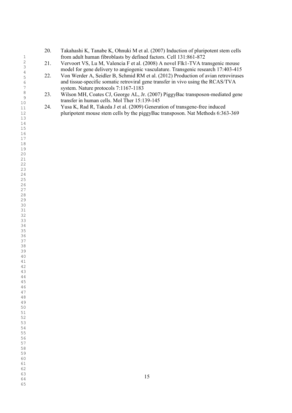- 20. Takahashi K, Tanabe K, Ohnuki M et al. (2007) Induction of pluripotent stem cells from adult human fibroblasts by defined factors. Cell 131:861-872
- 21. Vervoort VS, Lu M, Valencia F et al. (2008) A novel Flk1-TVA transgenic mouse model for gene delivery to angiogenic vasculature. Transgenic research 17:403-415
- 22. Von Werder A, Seidler B, Schmid RM et al. (2012) Production of avian retroviruses and tissue-specific somatic retroviral gene transfer in vivo using the RCAS/TVA system. Nature protocols 7:1167-1183
- 23. Wilson MH, Coates CJ, George AL, Jr. (2007) PiggyBac transposon-mediated gene transfer in human cells. Mol Ther 15:139-145
- 24. Yusa K, Rad R, Takeda J et al. (2009) Generation of transgene-free induced pluripotent mouse stem cells by the piggyBac transposon. Nat Methods 6:363-369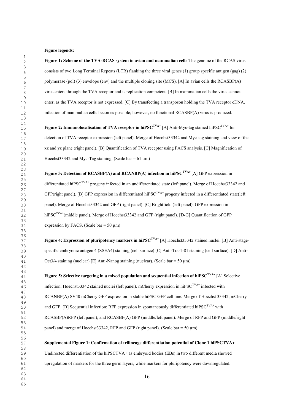#### **Figure legends:**

**Figure 1: Scheme of the TVA-RCAS system in avian and mammalian cells** The genome of the RCAS virus consists of two Long Terminal Repeats (LTR) flanking the three viral genes (1) group specific antigen (gag) (2) polymerase (pol) (3) envelope (env) and the multiple cloning site (MCS). [A] In avian cells the RCASBP(A) virus enters through the TVA receptor and is replication competent. [B] In mammalian cells the virus cannot enter, as the TVA receptor is not expressed. [C] By transfecting a transposon holding the TVA receptor cDNA, infection of mammalian cells becomes possible; however, no functional RCASBP(A) virus is produced.

**Figure 2: Immunolocalisation of TVA receptor in hiPSC<sup>TVA+</sup> [A] Anti-Myc-tag stained hiPSC<sup>TVA+</sup> for** detection of TVA receptor expression (left panel). Merge of Hoechst33342 and Myc-tag staining and view of the xz and yz plane (right panel). [B] Quantification of TVA receptor using FACS analysis. [C] Magnification of Hoechst33342 and Myc-Tag staining. (Scale bar =  $61 \mu m$ )

**Figure 3: Detection of RCASBP(A) and RCANBP(A) infection in hiPSC<sup>TVA+</sup> [A] GFP expression in** differentiated hiPSC<sup>TVA+</sup> progeny infected in an undifferentiated state (left panel). Merge of Hoechst33342 and GFP(right panel). [B] GFP expression in differentiated hiPSC<sup>TVA+</sup> progeny infected in a differentiated state(left panel). Merge of Hoechst33342 and GFP (right panel). [C] Brightfield (left panel). GFP expression in hiPSC<sup>TVA+</sup>(middle panel). Merge of Hoechst33342 and GFP (right panel). [D-G] Quantification of GFP expression by FACS. (Scale bar =  $50 \mu m$ )

**Figure 4: Expression of pluripotency markers in hiPSC<sup>TVA+</sup> [A] Hoechst33342 stained nuclei. [B] Anti-stage**specific embryonic antigen 4 (SSEA4) staining (cell surface) [C] Anti-Tra-1-81 staining (cell surface). [D] Anti-Oct3/4 staining (nuclear) [E] Anti-Nanog staining (nuclear). (Scale bar = 50  $\mu$ m)

**Figure 5: Selective targeting in a mixed population and sequential infection of hiPSCTVA+** [A] Selective infection: Hoechst33342 stained nuclei (left panel). mCherry expression in hiPSC<sup>TVA+</sup> infected with RCANBP(A) SV40 mCherry GFP expression in stable hiPSC GFP cell line. Merge of Hoechst 33342, mCherry and GFP. [B] Sequential infection: RFP expression in spontaneously differentiated hiPSC<sup>TVA+</sup> with RCASBP(A)RFP (left panel); and RCASBP(A) GFP (middle/left panel). Merge of RFP and GFP (middle/right panel) and merge of Hoechst33342, RFP and GFP (right panel). (Scale bar =  $50 \mu m$ )

**Supplemental Figure 1: Confirmation of trilineage differentiation potential of Clone 1 hiPSCTVA+** Undirected differentiation of the hiPSCTVA+ as embryoid bodies (EBs) in two different media showed upregulation of markers for the three germ layers, while markers for pluripotency were downregulated.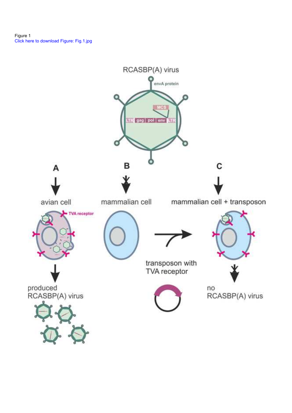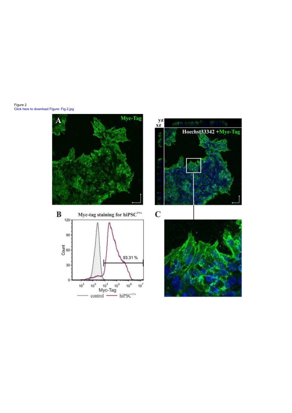Figure 2<br>Click here to download Figure: Fig.2.jpg





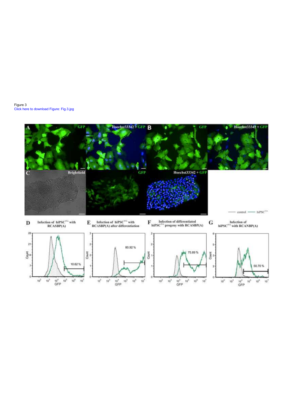

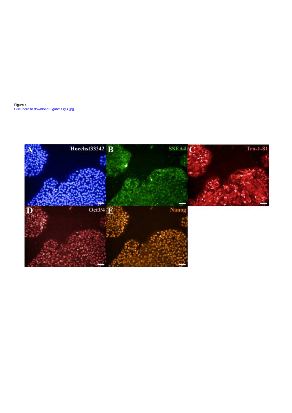Figure 4<br>Click here to download Figure: Fig.4.jpg

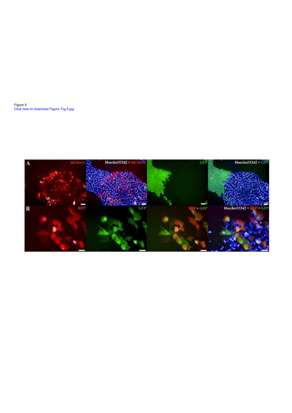Figure 5<br>Click here to download Figure: Fig.5.jpg

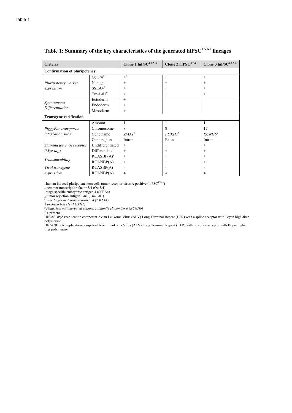| <b>Criteria</b>                     |                    | Clone 1 hiPSC <sup>TVA+a</sup> | Clone 2 hiPSC $^{TVA+}$  | Clone 3 hiPSC <sup>TVA+</sup> |  |  |  |
|-------------------------------------|--------------------|--------------------------------|--------------------------|-------------------------------|--|--|--|
| <b>Confirmation of pluripotency</b> |                    |                                |                          |                               |  |  |  |
|                                     | $Oct3/4^b$         | $+^h$                          | $+$                      | $+$                           |  |  |  |
| Pluripotency marker                 | Nanog              | $+$                            | $^+$                     | $^+$                          |  |  |  |
| expression                          | SSEA4 <sup>c</sup> | $+$                            | $^+$                     | $\pm$                         |  |  |  |
|                                     | Tra-1-81 $d$       | $+$                            | $^+$                     | $\pm$                         |  |  |  |
|                                     | Ectoderm           | $+$                            |                          |                               |  |  |  |
| Spontaneous<br>Differentiation      | Endoderm           | $+$                            |                          |                               |  |  |  |
|                                     | Mesoderm           | $+$                            |                          |                               |  |  |  |
| <b>Transgene verification</b>       |                    |                                |                          |                               |  |  |  |
|                                     | Amount             | 1                              |                          | 1                             |  |  |  |
| PiggyBac transposon                 | Chromosome         | 8                              | 8                        | 17                            |  |  |  |
| <i>integration sites</i>            | Gene name          | $ZMAT^e$                       | <i>FOXH1<sup>f</sup></i> | KCNH <sub>68</sub>            |  |  |  |
|                                     | Gene region        | Intron                         | Exon                     | Intron                        |  |  |  |
| Staining for TVA receptor           | Undifferentiated   | $+$                            | $+$                      | $+$                           |  |  |  |
| $(Myc-tag)$                         | Differentiated     | $+$                            | $^+$                     | $\pm$                         |  |  |  |
|                                     | $RCASBP(A)^1$      | $+$                            | $+$                      | $+$                           |  |  |  |
| Transducability                     | $RCANBP(A)^{J}$    | $^{+}$                         | $^+$                     | $+$                           |  |  |  |
| Viral transgene                     | RCASBP(A)          |                                |                          |                               |  |  |  |
| expression                          | RCANBP(A)          | ٠                              | ٠                        | +                             |  |  |  |

# **Table 1: Summary of the key characteristics of the generated hiPSCTVA+ lineages**

a human induced pluripotent stem cells tumor receptor virus A positive (hiPSC<sup>TVA+</sup>)

<sup>b</sup> octamer transcription factor 3/4 (Oct3/4)

c stage specific embryonic antigen 4 (SSEA4)

d tumor rejection antigen 1-81 (Tra-1-81)<br><sup>e</sup> *Zinc finger matrin-type protein 4 (ZMAT4)*<br><sup>f</sup>Forkhaad hor H1 (FOVH1)

<sup>t</sup>Forkhead box H1 (FOXH1)<br><sup>g</sup> Potassium voltage-gated channel subfamily H member 6 (KCNH6)<br><sup>h</sup> + present

<sup>i</sup> RCASBP(A):replication competent Avian Leukoma Virus (ALV) Long Terminal Repeat (LTR) with a splice acceptor with Bryan high-titer polymerase

j RCANBP(A) replication competent Avian Leukoma Virus (ALV) Long Terminal Repeat (LTR) with no splice acceptor with Bryan hightiter polymerase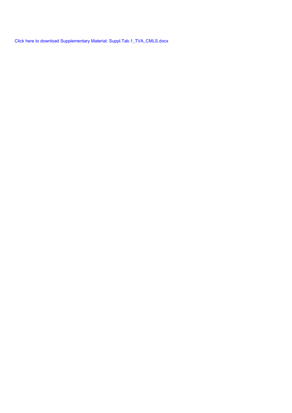Click here to download Supplementary Material: Suppl.Tab.1\_TVA\_CMLS.docx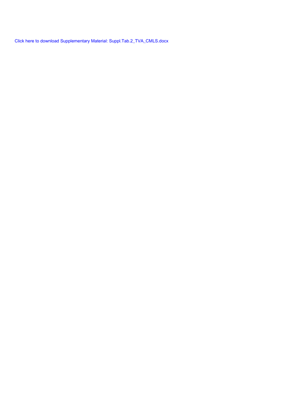Click here to download Supplementary Material: Suppl.Tab.2\_TVA\_CMLS.docx